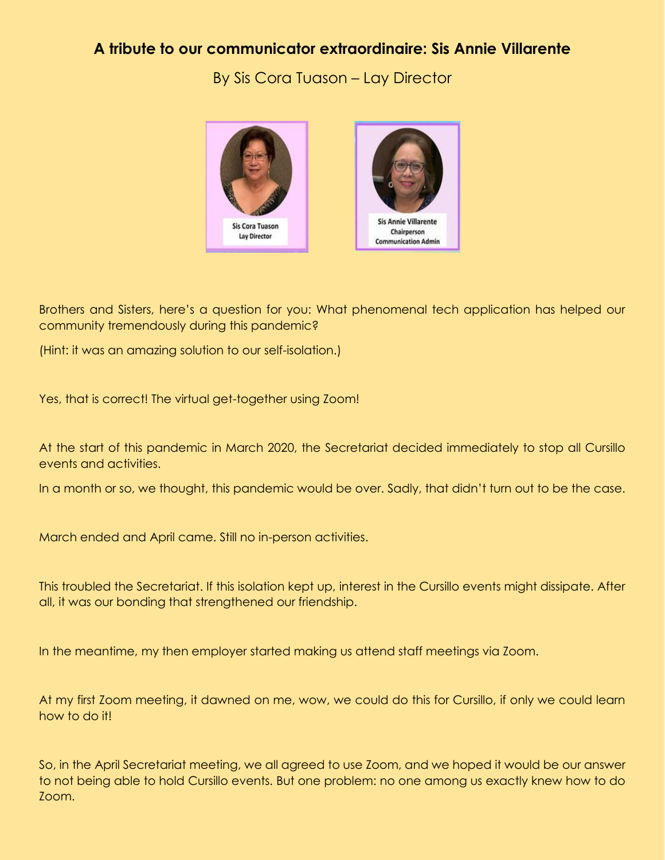## **A tribute to our communicator extraordinaire: Sis Annie Villarente**

By Sis Cora Tuason – Lay Director



Brothers and Sisters, here's a question for you: What phenomenal tech application has helped our community tremendously during this pandemic?

(Hint: it was an amazing solution to our self-isolation.)

Yes, that is correct! The virtual get-together using Zoom!

At the start of this pandemic in March 2020, the Secretariat decided immediately to stop all Cursillo events and activities.

In a month or so, we thought, this pandemic would be over. Sadly, that didn't turn out to be the case.

March ended and April came. Still no in-person activities.

This troubled the Secretariat. If this isolation kept up, interest in the Cursillo events might dissipate. After all, it was our bonding that strengthened our friendship.

In the meantime, my then employer started making us attend staff meetings via Zoom.

At my first Zoom meeting, it dawned on me, wow, we could do this for Cursillo, if only we could learn how to do it!

So, in the April Secretariat meeting, we all agreed to use Zoom, and we hoped it would be our answer to not being able to hold Cursillo events. But one problem: no one among us exactly knew how to do Zoom.